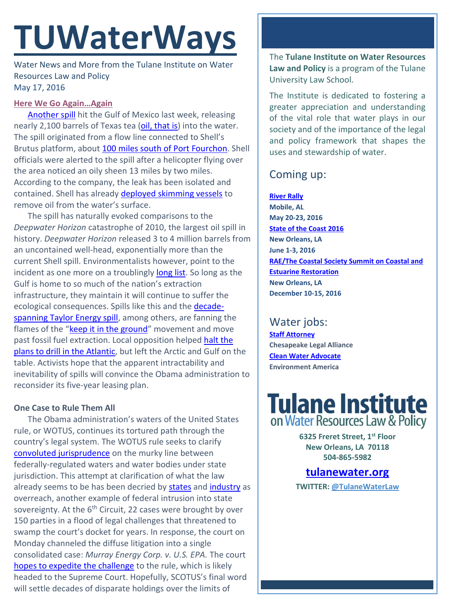# **TUWaterWays**

Water News and More from the Tulane Institute on Water Resources Law and Policy May 17, 2016

### **[Here We Go Again…Again](https://www.youtube.com/watch?v=c4c4z-z67BU)**

[Another](http://www.nola.com/business/index.ssf/2016/05/shell_oil_spill_gulf_of_mexico.html) spill hit the Gulf of Mexico last week, releasing nearly 2,100 barrels of Texas tea (oil, [that is\)](https://www.youtube.com/watch?v=QtvTE3m5jpM) into the water. The spill originated from a flow line connected to Shell's Brutus platform, about [100 miles south of Port Fourchon.](https://twitter.com/WWLTV/status/731070789563338752/photo/1?ref_src=twsrc%5Etfw) Shell officials were alerted to the spill after a helicopter flying over the area noticed an oily sheen 13 miles by two miles. According to the company, the leak has been isolated and contained. Shell has already [deployed skimming vessels](http://www.click2houston.com/news/national/shell-skimmers-start-cleanup-of-gulf-oil-spill) to remove oil from the water's surface.

The spill has naturally evoked comparisons to the *Deepwater Horizon* catastrophe of 2010, the largest oil spill in history. *Deepwater Horizon* released 3 to 4 million barrels from an uncontained well-head, exponentially more than the current Shell spill. Environmentalists however, point to the incident as one more on a troublingly [long list.](http://www.biologicaldiversity.org/programs/public_lands/energy/dirty_energy_development/oil_and_gas/gulf_oil_spill/oil-spill_timeline.html) So long as the Gulf is home to so much of the nation's extraction infrastructure, they maintain it will continue to suffer the ecological consequences. Spills like this and the [decade](http://ecowatch.com/2016/02/23/biggest-oil-leak-mc20/)[spanning Taylor Energy spill,](http://ecowatch.com/2016/02/23/biggest-oil-leak-mc20/) among others, are fanning the flames of the "keep [it in the ground](http://www.theguardian.com/environment/series/keep-it-in-the-ground)" movement and move past fossil fuel extraction. Local opposition helped [halt the](http://www.thestate.com/news/local/article66107742.html)  [plans to drill in the Atlantic,](http://www.thestate.com/news/local/article66107742.html) but left the Arctic and Gulf on the table. Activists hope that the apparent intractability and inevitability of spills will convince the Obama administration to reconsider its five-year leasing plan.

#### **One Case to Rule Them All**

The Obama administration's waters of the United States rule, or WOTUS, continues its tortured path through the country's legal system. The WOTUS rule seeks to clarify [convoluted jurisprudence](http://vjel.vermontlaw.edu/files/2013/05/The-Supreme-Court-and-the-Clean-Water-Act-5-Essays.pdf) on the murky line between federally-regulated waters and water bodies under state jurisdiction. This attempt at clarification of what the law already seems to be has been decried by [states](http://thehill.com/policy/energy-environment/246539-27-states-challenge-obama-water-rule-in-court) and [industry](http://www.fb.org/issues/wotus/resources/) as overreach, another example of federal intrusion into state sovereignty. At the  $6<sup>th</sup>$  Circuit, 22 cases were brought by over 150 parties in a flood of legal challenges that threatened to swamp the court's docket for years. In response, the court on Monday channeled the diffuse litigation into a single consolidated case: *Murray Energy Corp. v. U.S. EPA.* The court [hopes to expedite the challenge](https://www.dtnpf.com/agriculture/web/ag/news/business-inputs/article/2016/05/10/court-wants-speedy-resolution) to the rule, which is likely headed to the Supreme Court. Hopefully, SCOTUS's final word will settle decades of disparate holdings over the limits of

The **Tulane Institute on Water Resources Law and Policy** is a program of the Tulane University Law School.

The Institute is dedicated to fostering a greater appreciation and understanding of the vital role that water plays in our society and of the importance of the legal and policy framework that shapes the uses and stewardship of water.

# Coming up:

**[River Rally](https://www.rivernetwork.org/events-learning/river-rally/about/) Mobile, AL May 20-23, 2016 [State of the Coast 2016](http://stateofthecoast.org/) New Orleans, LA June 1-3, 2016 [RAE/The Coastal Society Summit on Coastal and](https://www.estuaries.org/images/NOLA_2016/2016-Summit-CFP_FINAL-011516.pdf)  [Estuarine Restoration](https://www.estuaries.org/images/NOLA_2016/2016-Summit-CFP_FINAL-011516.pdf) New Orleans, LA December 10-15, 2016**

# Water jobs:

**[Staff Attorney](http://www.chesapeakelegal.org/documents/Staff_Attorney_2___CLA.pdf) Chesapeake Legal Alliance [Clean Water Advocate](http://jobs.environmentamerica.org/clean-water-advocate.html) Environment America**

# **Tulane Institute** on Water Resources Law & Policy

**6325 Freret Street, 1st Floor New Orleans, LA 70118 504-865-5982** 

# **[tulanewater.org](file:///C:/Users/waterlaw/Downloads/tulanewater.org)**

**TWITTER: [@TulaneWaterLaw](http://www.twitter.com/TulaneWaterLaw)**